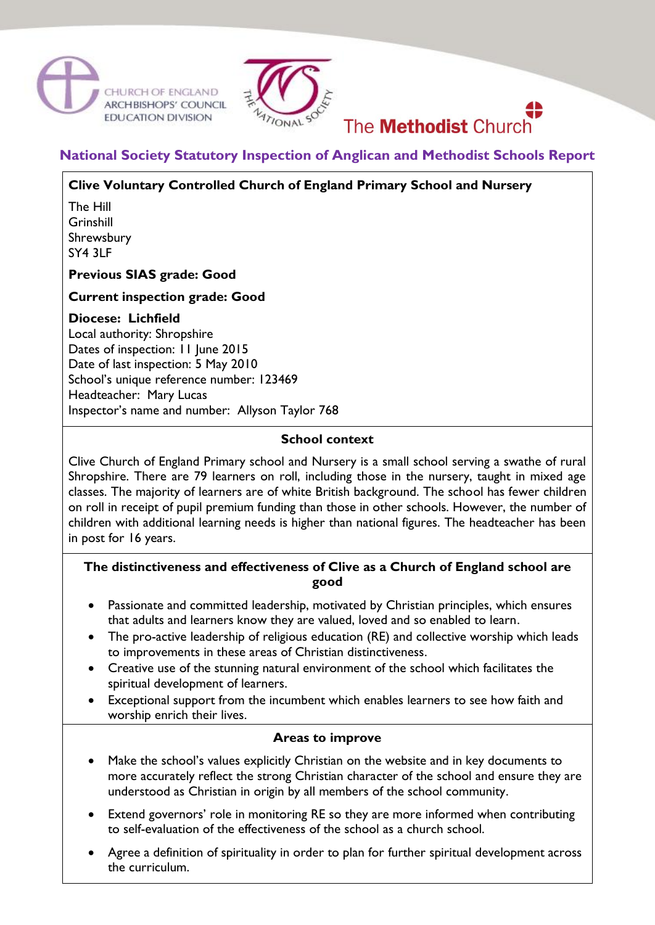



# The **Methodist** Church

# **National Society Statutory Inspection of Anglican and Methodist Schools Report**

# **Clive Voluntary Controlled Church of England Primary School and Nursery**

The Hill Grinshill Shrewsbury SY4 3LF

#### **Previous SIAS grade: Good**

#### **Current inspection grade: Good**

#### **Diocese: Lichfield**

Local authority: Shropshire Dates of inspection: 11 June 2015 Date of last inspection: 5 May 2010 School's unique reference number: 123469 Headteacher: Mary Lucas Inspector's name and number: Allyson Taylor 768

#### **School context**

Clive Church of England Primary school and Nursery is a small school serving a swathe of rural Shropshire. There are 79 learners on roll, including those in the nursery, taught in mixed age classes. The majority of learners are of white British background. The school has fewer children on roll in receipt of pupil premium funding than those in other schools. However, the number of children with additional learning needs is higher than national figures. The headteacher has been in post for 16 years.

## **The distinctiveness and effectiveness of Clive as a Church of England school are good**

- Passionate and committed leadership, motivated by Christian principles, which ensures that adults and learners know they are valued, loved and so enabled to learn.
- The pro-active leadership of religious education (RE) and collective worship which leads to improvements in these areas of Christian distinctiveness.
- Creative use of the stunning natural environment of the school which facilitates the spiritual development of learners.
- Exceptional support from the incumbent which enables learners to see how faith and worship enrich their lives.

#### **Areas to improve**

- Make the school's values explicitly Christian on the website and in key documents to more accurately reflect the strong Christian character of the school and ensure they are understood as Christian in origin by all members of the school community.
- Extend governors' role in monitoring RE so they are more informed when contributing to self-evaluation of the effectiveness of the school as a church school.
- Agree a definition of spirituality in order to plan for further spiritual development across the curriculum.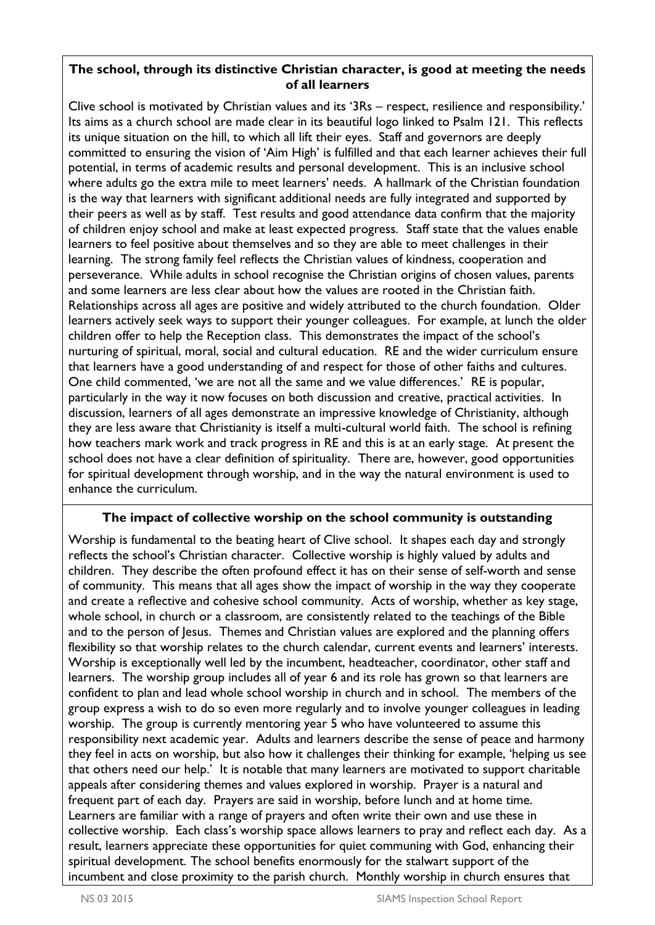## **The school, through its distinctive Christian character, is good at meeting the needs of all learners**

Clive school is motivated by Christian values and its '3Rs – respect, resilience and responsibility.' Its aims as a church school are made clear in its beautiful logo linked to Psalm 121. This reflects its unique situation on the hill, to which all lift their eyes. Staff and governors are deeply committed to ensuring the vision of 'Aim High' is fulfilled and that each learner achieves their full potential, in terms of academic results and personal development. This is an inclusive school where adults go the extra mile to meet learners' needs. A hallmark of the Christian foundation is the way that learners with significant additional needs are fully integrated and supported by their peers as well as by staff. Test results and good attendance data confirm that the majority of children enjoy school and make at least expected progress. Staff state that the values enable learners to feel positive about themselves and so they are able to meet challenges in their learning. The strong family feel reflects the Christian values of kindness, cooperation and perseverance. While adults in school recognise the Christian origins of chosen values, parents and some learners are less clear about how the values are rooted in the Christian faith. Relationships across all ages are positive and widely attributed to the church foundation. Older learners actively seek ways to support their younger colleagues. For example, at lunch the older children offer to help the Reception class. This demonstrates the impact of the school's nurturing of spiritual, moral, social and cultural education. RE and the wider curriculum ensure that learners have a good understanding of and respect for those of other faiths and cultures. One child commented, 'we are not all the same and we value differences.' RE is popular, particularly in the way it now focuses on both discussion and creative, practical activities. In discussion, learners of all ages demonstrate an impressive knowledge of Christianity, although they are less aware that Christianity is itself a multi-cultural world faith. The school is refining how teachers mark work and track progress in RE and this is at an early stage. At present the school does not have a clear definition of spirituality. There are, however, good opportunities for spiritual development through worship, and in the way the natural environment is used to enhance the curriculum.

# **The impact of collective worship on the school community is outstanding**

Worship is fundamental to the beating heart of Clive school. It shapes each day and strongly reflects the school's Christian character. Collective worship is highly valued by adults and children. They describe the often profound effect it has on their sense of self-worth and sense of community. This means that all ages show the impact of worship in the way they cooperate and create a reflective and cohesive school community. Acts of worship, whether as key stage, whole school, in church or a classroom, are consistently related to the teachings of the Bible and to the person of Jesus. Themes and Christian values are explored and the planning offers flexibility so that worship relates to the church calendar, current events and learners' interests. Worship is exceptionally well led by the incumbent, headteacher, coordinator, other staff and learners. The worship group includes all of year 6 and its role has grown so that learners are confident to plan and lead whole school worship in church and in school. The members of the group express a wish to do so even more regularly and to involve younger colleagues in leading worship. The group is currently mentoring year 5 who have volunteered to assume this responsibility next academic year. Adults and learners describe the sense of peace and harmony they feel in acts on worship, but also how it challenges their thinking for example, 'helping us see that others need our help.' It is notable that many learners are motivated to support charitable appeals after considering themes and values explored in worship. Prayer is a natural and frequent part of each day. Prayers are said in worship, before lunch and at home time. Learners are familiar with a range of prayers and often write their own and use these in collective worship. Each class's worship space allows learners to pray and reflect each day. As a result, learners appreciate these opportunities for quiet communing with God, enhancing their spiritual development. The school benefits enormously for the stalwart support of the incumbent and close proximity to the parish church. Monthly worship in church ensures that